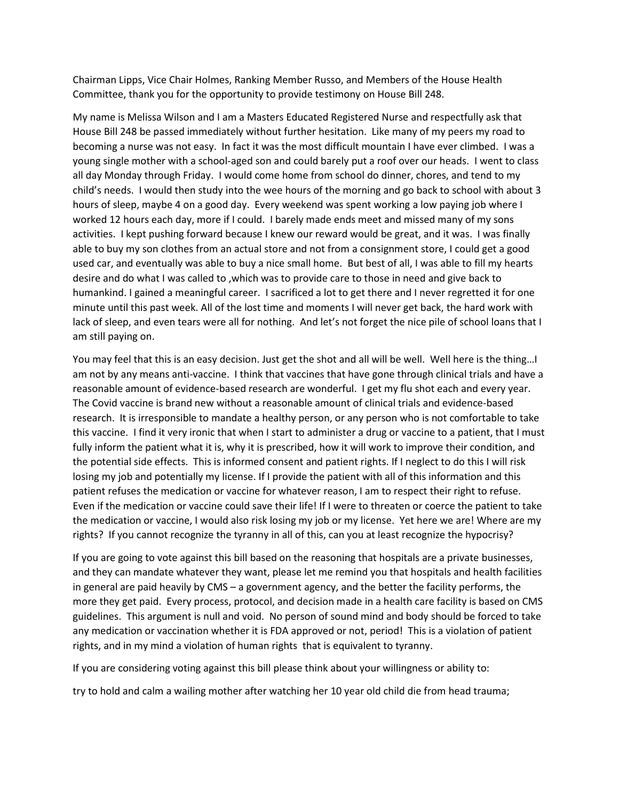Chairman Lipps, Vice Chair Holmes, Ranking Member Russo, and Members of the House Health Committee, thank you for the opportunity to provide testimony on House Bill 248.

My name is Melissa Wilson and I am a Masters Educated Registered Nurse and respectfully ask that House Bill 248 be passed immediately without further hesitation. Like many of my peers my road to becoming a nurse was not easy. In fact it was the most difficult mountain I have ever climbed. I was a young single mother with a school-aged son and could barely put a roof over our heads. I went to class all day Monday through Friday. I would come home from school do dinner, chores, and tend to my child's needs. I would then study into the wee hours of the morning and go back to school with about 3 hours of sleep, maybe 4 on a good day. Every weekend was spent working a low paying job where I worked 12 hours each day, more if I could. I barely made ends meet and missed many of my sons activities. I kept pushing forward because I knew our reward would be great, and it was. I was finally able to buy my son clothes from an actual store and not from a consignment store, I could get a good used car, and eventually was able to buy a nice small home. But best of all, I was able to fill my hearts desire and do what I was called to ,which was to provide care to those in need and give back to humankind. I gained a meaningful career. I sacrificed a lot to get there and I never regretted it for one minute until this past week. All of the lost time and moments I will never get back, the hard work with lack of sleep, and even tears were all for nothing. And let's not forget the nice pile of school loans that I am still paying on.

You may feel that this is an easy decision. Just get the shot and all will be well. Well here is the thing…I am not by any means anti-vaccine. I think that vaccines that have gone through clinical trials and have a reasonable amount of evidence-based research are wonderful. I get my flu shot each and every year. The Covid vaccine is brand new without a reasonable amount of clinical trials and evidence-based research. It is irresponsible to mandate a healthy person, or any person who is not comfortable to take this vaccine. I find it very ironic that when I start to administer a drug or vaccine to a patient, that I must fully inform the patient what it is, why it is prescribed, how it will work to improve their condition, and the potential side effects. This is informed consent and patient rights. If I neglect to do this I will risk losing my job and potentially my license. If I provide the patient with all of this information and this patient refuses the medication or vaccine for whatever reason, I am to respect their right to refuse. Even if the medication or vaccine could save their life! If I were to threaten or coerce the patient to take the medication or vaccine, I would also risk losing my job or my license. Yet here we are! Where are my rights? If you cannot recognize the tyranny in all of this, can you at least recognize the hypocrisy?

If you are going to vote against this bill based on the reasoning that hospitals are a private businesses, and they can mandate whatever they want, please let me remind you that hospitals and health facilities in general are paid heavily by CMS – a government agency, and the better the facility performs, the more they get paid. Every process, protocol, and decision made in a health care facility is based on CMS guidelines. This argument is null and void. No person of sound mind and body should be forced to take any medication or vaccination whether it is FDA approved or not, period! This is a violation of patient rights, and in my mind a violation of human rights that is equivalent to tyranny.

If you are considering voting against this bill please think about your willingness or ability to:

try to hold and calm a wailing mother after watching her 10 year old child die from head trauma;